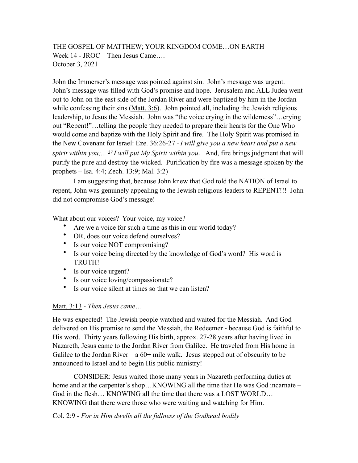# THE GOSPEL OF MATTHEW; YOUR KINGDOM COME…ON EARTH Week 14 - JROC – Then Jesus Came…. October 3, 2021

John the Immerser's message was pointed against sin. John's message was urgent. John's message was filled with God's promise and hope. Jerusalem and ALL Judea went out to John on the east side of the Jordan River and were baptized by him in the Jordan while confessing their sins  $(Matt. 3:6)$ . John pointed all, including the Jewish religious leadership, to Jesus the Messiah. John was "the voice crying in the wilderness"…crying out "Repent!"…telling the people they needed to prepare their hearts for the One Who would come and baptize with the Holy Spirit and fire. The Holy Spirit was promised in the New Covenant for Israel: Eze. 36:26-27 *- I will give you a new heart and put a new spirit within you;... 27 I will put My Spirit within you.* And, fire brings judgment that will purify the pure and destroy the wicked. Purification by fire was a message spoken by the prophets – Isa. 4:4; Zech. 13:9; Mal. 3:2)

I am suggesting that, because John knew that God told the NATION of Israel to repent, John was genuinely appealing to the Jewish religious leaders to REPENT!!! John did not compromise God's message!

What about our voices? Your voice, my voice?

- Are we a voice for such a time as this in our world today?
- OR, does our voice defend ourselves?
- Is our voice NOT compromising?
- Is our voice being directed by the knowledge of God's word? His word is TRUTH!
- Is our voice urgent?
- Is our voice loving/compassionate?
- Is our voice silent at times so that we can listen?

### Matt. 3:13 - *Then Jesus came…*

He was expected! The Jewish people watched and waited for the Messiah. And God delivered on His promise to send the Messiah, the Redeemer - because God is faithful to His word. Thirty years following His birth, approx. 27-28 years after having lived in Nazareth, Jesus came to the Jordan River from Galilee. He traveled from His home in Galilee to the Jordan River – a  $60+$  mile walk. Jesus stepped out of obscurity to be announced to Israel and to begin His public ministry!

CONSIDER: Jesus waited those many years in Nazareth performing duties at home and at the carpenter's shop...KNOWING all the time that He was God incarnate – God in the flesh… KNOWING all the time that there was a LOST WORLD… KNOWING that there were those who were waiting and watching for Him.

Col. 2:9 - *For in Him dwells all the fullness of the Godhead bodily*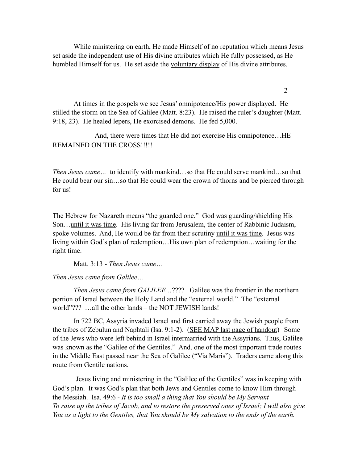While ministering on earth, He made Himself of no reputation which means Jesus set aside the independent use of His divine attributes which He fully possessed, as He humbled Himself for us. He set aside the voluntary display of His divine attributes.

 At times in the gospels we see Jesus' omnipotence/His power displayed. He stilled the storm on the Sea of Galilee (Matt. 8:23). He raised the ruler's daughter (Matt. 9:18, 23). He healed lepers, He exorcised demons. He fed 5,000.

 And, there were times that He did not exercise His omnipotence…HE REMAINED ON THE CROSS!!!!!

*Then Jesus came…* to identify with mankind…so that He could serve mankind…so that He could bear our sin…so that He could wear the crown of thorns and be pierced through for us!

The Hebrew for Nazareth means "the guarded one." God was guarding/shielding His Son...until it was time. His living far from Jerusalem, the center of Rabbinic Judaism, spoke volumes. And, He would be far from their scrutiny until it was time. Jesus was living within God's plan of redemption…His own plan of redemption…waiting for the right time.

Matt. 3:13 - *Then Jesus came…* 

*Then Jesus came from Galilee…* 

 *Then Jesus came from GALILEE…*???? Galilee was the frontier in the northern portion of Israel between the Holy Land and the "external world." The "external world"??? …all the other lands – the NOT JEWISH lands!

 In 722 BC, Assyria invaded Israel and first carried away the Jewish people from the tribes of Zebulun and Naphtali (Isa. 9:1-2). (SEE MAP last page of handout) Some of the Jews who were left behind in Israel intermarried with the Assyrians. Thus, Galilee was known as the "Galilee of the Gentiles." And, one of the most important trade routes in the Middle East passed near the Sea of Galilee ("Via Maris"). Traders came along this route from Gentile nations.

 Jesus living and ministering in the "Galilee of the Gentiles" was in keeping with God's plan. It was God's plan that both Jews and Gentiles come to know Him through the Messiah. Isa. 49:6 - *It is too small a thing that You should be My Servant To raise up the tribes of Jacob, and to restore the preserved ones of Israel; I will also give You as a light to the Gentiles, that You should be My salvation to the ends of the earth.* 

2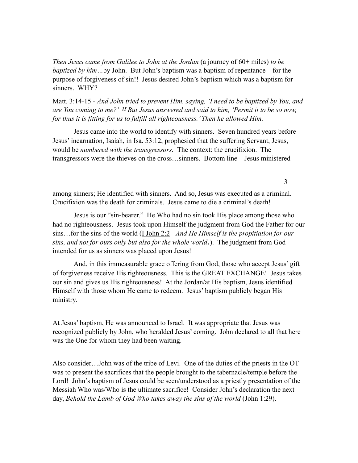*Then Jesus came from Galilee to John at the Jordan* (a journey of 60+ miles) *to be baptized by him…*by John. But John's baptism was a baptism of repentance – for the purpose of forgiveness of sin!! Jesus desired John's baptism which was a baptism for sinners. WHY?

Matt. 3:14-15 - *And John tried to prevent Him, saying, 'I need to be baptized by You, and are You coming to me?' 15 But Jesus answered and said to him, 'Permit it to be so now, for thus it is fitting for us to fulfill all righteousness.' Then he allowed Him.* 

 Jesus came into the world to identify with sinners. Seven hundred years before Jesus' incarnation, Isaiah, in Isa. 53:12, prophesied that the suffering Servant, Jesus, would be *numbered with the transgressors.* The context: the crucifixion. The transgressors were the thieves on the cross…sinners. Bottom line – Jesus ministered

among sinners; He identified with sinners. And so, Jesus was executed as a criminal. Crucifixion was the death for criminals. Jesus came to die a criminal's death!

Jesus is our "sin-bearer." He Who had no sin took His place among those who had no righteousness. Jesus took upon Himself the judgment from God the Father for our sins…for the sins of the world (I John 2:2 - *And He Himself is the propitiation for our sins, and not for ours only but also for the whole world*.). The judgment from God intended for us as sinners was placed upon Jesus!

And, in this immeasurable grace offering from God, those who accept Jesus' gift of forgiveness receive His righteousness. This is the GREAT EXCHANGE! Jesus takes our sin and gives us His righteousness! At the Jordan/at His baptism, Jesus identified Himself with those whom He came to redeem. Jesus' baptism publicly began His ministry.

At Jesus' baptism, He was announced to Israel. It was appropriate that Jesus was recognized publicly by John, who heralded Jesus' coming. John declared to all that here was the One for whom they had been waiting.

Also consider…John was of the tribe of Levi. One of the duties of the priests in the OT was to present the sacrifices that the people brought to the tabernacle/temple before the Lord! John's baptism of Jesus could be seen/understood as a priestly presentation of the Messiah Who was/Who is the ultimate sacrifice! Consider John's declaration the next day, *Behold the Lamb of God Who takes away the sins of the world* (John 1:29).

3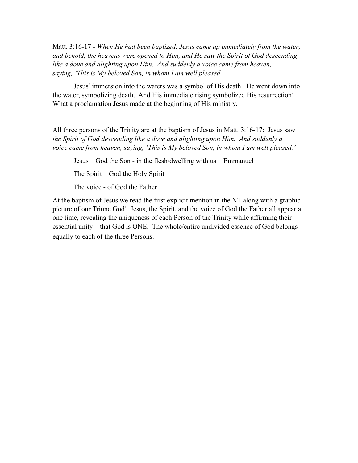Matt. 3:16-17 - *When He had been baptized, Jesus came up immediately from the water; and behold, the heavens were opened to Him, and He saw the Spirit of God descending*  like a dove and alighting upon Him. And suddenly a voice came from heaven, *saying, 'This is My beloved Son, in whom I am well pleased.'* 

 Jesus' immersion into the waters was a symbol of His death. He went down into the water, symbolizing death. And His immediate rising symbolized His resurrection! What a proclamation Jesus made at the beginning of His ministry.

All three persons of the Trinity are at the baptism of Jesus in <u>Matt. 3:16-17:</u> Jesus saw *the Spirit of God descending like a dove and alighting upon Him. And suddenly a voice came from heaven, saying, 'This is My beloved Son, in whom I am well pleased.'* 

Jesus – God the Son - in the flesh/dwelling with us – Emmanuel

The Spirit – God the Holy Spirit

The voice - of God the Father

At the baptism of Jesus we read the first explicit mention in the NT along with a graphic picture of our Triune God! Jesus, the Spirit, and the voice of God the Father all appear at one time, revealing the uniqueness of each Person of the Trinity while affirming their essential unity – that God is ONE. The whole/entire undivided essence of God belongs equally to each of the three Persons.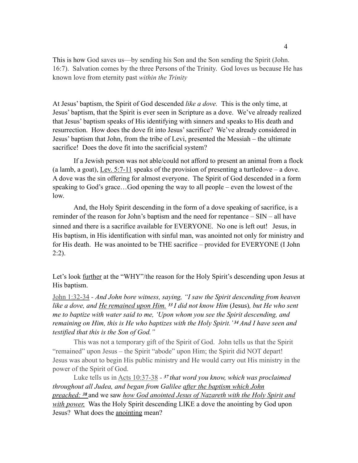This is how God saves us—by sending his Son and the Son sending the Spirit (John. 16:7). Salvation comes by the three Persons of the Trinity. God loves us because He has known love from eternity past *within the Trinity*

At Jesus' baptism, the Spirit of God descended *like a dove.* This is the only time, at Jesus' baptism, that the Spirit is ever seen in Scripture as a dove. We've already realized that Jesus' baptism speaks of His identifying with sinners and speaks to His death and resurrection. How does the dove fit into Jesus' sacrifice? We've already considered in Jesus' baptism that John, from the tribe of Levi, presented the Messiah – the ultimate sacrifice! Does the dove fit into the sacrificial system?

If a Jewish person was not able/could not afford to present an animal from a flock (a lamb, a goat), Lev. 5:7-11 speaks of the provision of presenting a turtledove – a dove. A dove was the sin offering for almost everyone. The Spirit of God descended in a form speaking to God's grace…God opening the way to all people – even the lowest of the low.

And, the Holy Spirit descending in the form of a dove speaking of sacrifice, is a reminder of the reason for John's baptism and the need for repentance – SIN – all have sinned and there is a sacrifice available for EVERYONE. No one is left out! Jesus, in His baptism, in His identification with sinful man, was anointed not only for ministry and for His death. He was anointed to be THE sacrifice – provided for EVERYONE (I John 2:2).

Let's look <u>further</u> at the "WHY"/the reason for the Holy Spirit's descending upon Jesus at His baptism.

John 1:32-34 - *And John bore witness, saying, "I saw the Spirit descending from heaven like a dove, and He remained upon Him. <sup>33</sup>I did not know Him* (Jesus)*, but He who sent me to baptize with water said to me, 'Upon whom you see the Spirit descending, and remaining on Him, this is He who baptizes with the Holy Spirit.' 34 And I have seen and testified that this is the Son of God."* 

This was not a temporary gift of the Spirit of God. John tells us that the Spirit "remained" upon Jesus – the Spirit "abode" upon Him; the Spirit did NOT depart! Jesus was about to begin His public ministry and He would carry out His ministry in the power of the Spirit of God.

Luke tells us in Acts 10:37-38 - *<sup>37</sup>that word you know, which was proclaimed throughout all Judea, and began from Galilee after the baptism which John preached: 38* and we saw *how God anointed Jesus of Nazareth with the Holy Spirit and with power,* Was the Holy Spirit descending LIKE a dove the anointing by God upon Jesus? What does the anointing mean?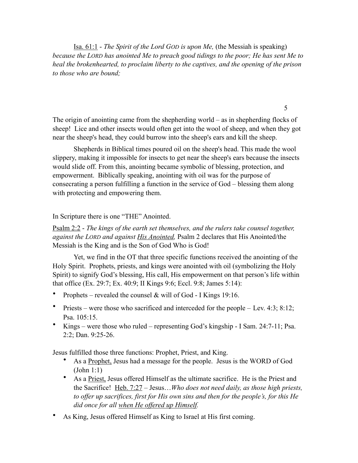Isa. 61:1 - *The Spirit of the Lord GOD is upon Me,* (the Messiah is speaking) *because the LORD has anointed Me to preach good tidings to the poor; He has sent Me to heal the brokenhearted, to proclaim liberty to the captives, and the opening of the prison to those who are bound;* 

The origin of anointing came from the shepherding world – as in shepherding flocks of sheep! Lice and other insects would often get into the wool of sheep, and when they got near the sheep's head, they could burrow into the sheep's ears and kill the sheep.

 Shepherds in Biblical times poured oil on the sheep's head. This made the wool slippery, making it impossible for insects to get near the sheep's ears because the insects would slide off. From this, anointing became symbolic of blessing, protection, and empowerment. Biblically speaking, anointing with oil was for the purpose of consecrating a person fulfilling a function in the service of God – blessing them along with protecting and empowering them.

#### In Scripture there is one "THE" Anointed.

Psalm 2:2 - *The kings of the earth set themselves, and the rulers take counsel together, against the LORD and against His Anointed,* Psalm 2 declares that His Anointed/the Messiah is the King and is the Son of God Who is God!

 Yet, we find in the OT that three specific functions received the anointing of the Holy Spirit. Prophets, priests, and kings were anointed with oil (symbolizing the Holy Spirit) to signify God's blessing, His call, His empowerment on that person's life within that office (Ex. 29:7; Ex. 40:9; II Kings 9:6; Eccl. 9:8; James 5:14):

- Prophets revealed the counsel & will of God I Kings 19:16.
- Priests were those who sacrificed and interceded for the people Lev. 4:3; 8:12; Psa. 105:15.
- Kings were those who ruled representing God's kingship I Sam. 24:7-11; Psa. 2:2; Dan. 9:25-26.

Jesus fulfilled those three functions: Prophet, Priest, and King.

- As a Prophet, Jesus had a message for the people. Jesus is the WORD of God (John 1:1)
- As a Priest, Jesus offered Himself as the ultimate sacrifice. He is the Priest and the Sacrifice! Heb. 7:27 – Jesus…*Who does not need daily, as those high priests, to offer up sacrifices, first for His own sins and then for the people's, for this He did once for all when He offered up Himself.*
- As King, Jesus offered Himself as King to Israel at His first coming.

5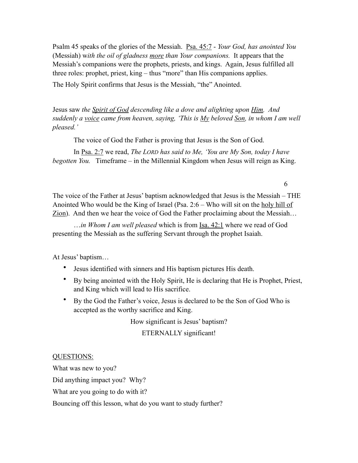Psalm 45 speaks of the glories of the Messiah. Psa. 45:7 - *Your God, has anointed You*  (Messiah) w*ith the oil of gladness more than Your companions.* It appears that the Messiah's companions were the prophets, priests, and kings. Again, Jesus fulfilled all three roles: prophet, priest, king – thus "more" than His companions applies.

The Holy Spirit confirms that Jesus is the Messiah, "the" Anointed.

Jesus saw *the Spirit of God descending like a dove and alighting upon Him. And suddenly a voice came from heaven, saying, 'This is My beloved Son, in whom I am well pleased.'* 

The voice of God the Father is proving that Jesus is the Son of God.

In Psa. 2:7 we read, *The LORD has said to Me, 'You are My Son, today I have begotten You.* Timeframe – in the Millennial Kingdom when Jesus will reign as King.

The voice of the Father at Jesus' baptism acknowledged that Jesus is the Messiah – THE Anointed Who would be the King of Israel (Psa. 2:6 – Who will sit on the holy hill of Zion). And then we hear the voice of God the Father proclaiming about the Messiah…

 …*in Whom I am well pleased* which is from Isa. 42:1 where we read of God presenting the Messiah as the suffering Servant through the prophet Isaiah.

6

At Jesus' baptism…

- Jesus identified with sinners and His baptism pictures His death.
- By being anointed with the Holy Spirit, He is declaring that He is Prophet, Priest, and King which will lead to His sacrifice.
- By the God the Father's voice, Jesus is declared to be the Son of God Who is accepted as the worthy sacrifice and King.

How significant is Jesus' baptism?

ETERNALLY significant!

### QUESTIONS:

What was new to you? Did anything impact you? Why? What are you going to do with it? Bouncing off this lesson, what do you want to study further?